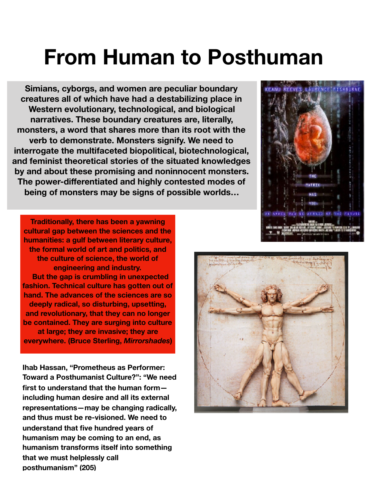## **From Human to Posthuman**

**Simians, cyborgs, and women are peculiar boundary creatures all of which have had a destabilizing place in Western evolutionary, technological, and biological narratives. These boundary creatures are, literally, monsters, a word that shares more than its root with the verb to demonstrate. Monsters signify. We need to interrogate the multifaceted biopolitical, biotechnological, and feminist theoretical stories of the situated knowledges by and about these promising and noninnocent monsters. The power-differentiated and highly contested modes of being of monsters may be signs of possible worlds…** 

**Traditionally, there has been a yawning cultural gap between the sciences and the humanities: a gulf between literary culture, the formal world of art and politics, and the culture of science, the world of engineering and industry. But the gap is crumbling in unexpected fashion. Technical culture has gotten out of hand. The advances of the sciences are so deeply radical, so disturbing, upsetting, and revolutionary, that they can no longer be contained. They are surging into culture at large; they are invasive; they are everywhere. (Bruce Sterling,** *Mirrorshades***)** 

**Ihab Hassan, "Prometheus as Performer: Toward a Posthumanist Culture?": "We need first to understand that the human form including human desire and all its external representations—may be changing radically, and thus must be re-visioned. We need to understand that five hundred years of humanism may be coming to an end, as humanism transforms itself into something that we must helplessly call posthumanism" (205)** 



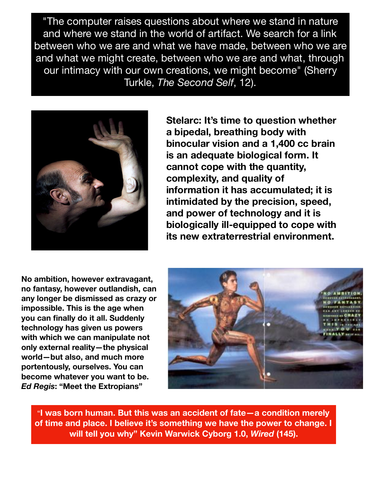"The computer raises questions about where we stand in nature and where we stand in the world of artifact. We search for a link between who we are and what we have made, between who we are and what we might create, between who we are and what, through our intimacy with our own creations, we might become" (Sherry Turkle, *The Second Self*, 12).



**Stelarc: It's time to question whether a bipedal, breathing body with binocular vision and a 1,400 cc brain is an adequate biological form. It cannot cope with the quantity, complexity, and quality of information it has accumulated; it is intimidated by the precision, speed, and power of technology and it is biologically ill-equipped to cope with its new extraterrestrial environment.** 

**No ambition, however extravagant, no fantasy, however outlandish, can any longer be dismissed as crazy or impossible. This is the age when you can finally do it all. Suddenly technology has given us powers with which we can manipulate not only external reality—the physical world—but also, and much more portentously, ourselves. You can become whatever you want to be.**  *Ed Regis***: "Meet the Extropians"** 



"**I was born human. But this was an accident of fate—a condition merely of time and place. I believe it's something we have the power to change. I will tell you why" Kevin Warwick Cyborg 1.0,** *Wired* **(145).**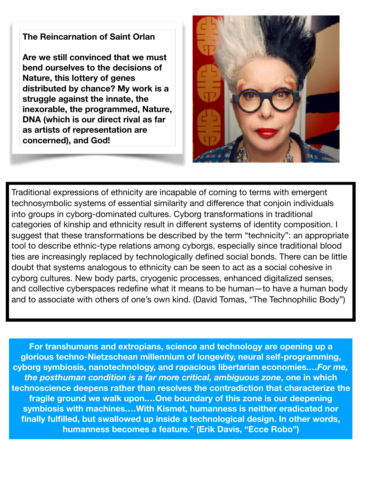## **The Reincarnation of Saint Orlan**

**Are we still convinced that we must bend ourselves to the decisions of Nature, this lottery of genes distributed by chance? My work is a struggle against the innate, the inexorable, the programmed, Nature, DNA (which is our direct rival as far as artists of representation are concerned), and God!**



Traditional expressions of ethnicity are incapable of coming to terms with emergent technosymbolic systems of essential similarity and difference that conjoin individuals into groups in cyborg-dominated cultures. Cyborg transformations in traditional categories of kinship and ethnicity result in different systems of identity composition. I suggest that these transformations be described by the term "technicity": an appropriate tool to describe ethnic-type relations among cyborgs, especially since traditional blood ties are increasingly replaced by technologically defined social bonds. There can be little doubt that systems analogous to ethnicity can be seen to act as a social cohesive in cyborg cultures. New body parts, cryogenic processes, enhanced digitalized senses, and collective cyberspaces redefine what it means to be human—to have a human body and to associate with others of one's own kind. (David Tomas, "The Technophilic Body")

**For transhumans and extropians, science and technology are opening up a glorious techno-Nietzschean millennium of longevity, neural self-programming, cyborg symbiosis, nanotechnology, and rapacious libertarian economies.…***For me, the posthuman condition is a far more critical, ambiguous zone***, one in which technoscience deepens rather than resolves the contradiction that characterize the fragile ground we walk upon.…One boundary of this zone is our deepening symbiosis with machines.…With Kismet, humanness is neither eradicated nor finally fulfilled, but swallowed up inside a technological design. In other words, humanness becomes a feature." (Erik Davis, "Ecce Robo")**